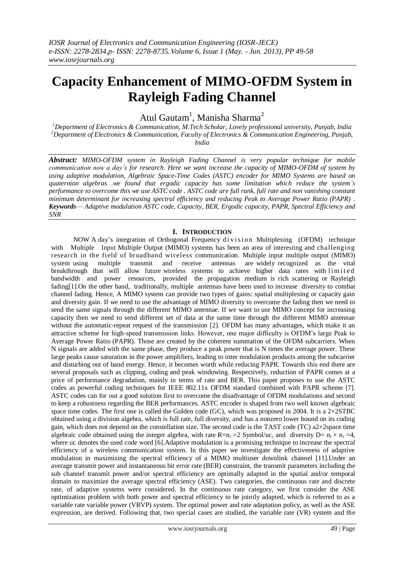# **Capacity Enhancement of MIMO-OFDM System in Rayleigh Fading Channel**

Atul Gautam<sup>1</sup>, Manisha Sharma<sup>2</sup>

*<sup>1</sup>Department of Electronics & Communication, M.Tech Scholar, Lovely professional university, Punjab, India <sup>2</sup>Department of Electronics & Communication, Faculty of Electronics & Communication Engineering, Punjab, India*

*Abstract: MIMO-OFDM system in Rayleigh Fading Channel is very popular technique for mobile communication now a day's for research. Here we want increase the capacity of MIMO-OFDM of system by using adaptive modulation, Algebraic Space-Time Codes (ASTC) encoder for MIMO Systems are based on quaternion algebras .we found that ergodic capacity has some limitation which reduce the system's performance to overcome this we use ASTC code . ASTC code are full rank, full rate and non vanishing constant minimum determinant for increasing spectral efficiency and reducing Peak to Average Power Ratio (PAPR)* . *Keywords*— *Adaptive modulation ASTC code, Capacity, BER, Ergodic capacity, PAPR, Spectral Efficiency and SNR*

## **I. INTRODUCTION**

NOW A day's integration of Orthogonal Frequency division Multiplexing (OFDM) technique with Multiple Input Multiple Output (MIMO) systems has been an area of interesting and challenging research in the field of broadband wireless communication. Multiple input multiple output (MIMO) system using multiple transmit and receive antennas are widely recognized as the vital breakthrough that will allow future wireless systems to achieve higher data rates with limited bandwidth and power resources, provided the propagation medium is rich scattering or Rayleigh fading[1].On the other hand, traditionally, multiple antennas have been used to increase diversity to combat channel fading. Hence, A MIMO system can provide two types of gains: spatial multiplexing or capacity gain and diversity gain. If we need to use the advantage of MIMO diversity to overcome the fading then we need to send the same signals through the different MIMO antennae. If we want to use MIMO concept for increasing capacity then we need to send different set of data at the same time through the different MIMO antennae without the automatic-repeat request of the transmission [2]. OFDM has many advantages, which make it an attractive scheme for high-speed transmission links. However, one major difficulty is OFDM's large Peak to Average Power Ratio (PAPR). Those are created by the coherent summation of the OFDM subcarriers. When N signals are added with the same phase, they produce a peak power that is N times the average power. These large peaks cause saturation in the power amplifiers, leading to inter modulation products among the subcarrier and disturbing out of band energy. Hence, it becomes worth while reducing PAPR. Towards this end there are several proposals such as clipping, coding and peak windowing. Respectively, reduction of PAPR comes at a price of performance degradation, mainly in terms of rate and BER. This paper proposes to use the ASTC codes as powerful coding techniques for IEEE 802.11x OFDM standard combined with PAPR scheme [7]. ASTC codes can for out a good solution first to overcome the disadvantage of OFDM modulations and second to keep a robustness regarding the BER performances. ASTC encoder is shaped from two well known algebraic space time codes. The first one is called the Golden code (GC), which was proposed in 2004. It is a  $2 \times 2STBC$ obtained using a division algebra, which is full rate, full diversity, and has a nonzero lower bound on its coding gain, which does not depend on the constellation size. The second code is the TAST code (TC) a2×2space time algebraic code obtained using the integer algebra, with rate R=n<sub>t</sub> = 2 Symbol/uc, and diversity D=  $n_t \times n_r = 4$ , where uc denotes the used code word [6].Adaptive modulation is a promising technique to increase the spectral efficiency of a wireless communication system. In this paper we investigate the effectiveness of adaptive modulation in maximizing the spectral efficiency of a MIMO multiuser downlink channel [11].Under an average transmit power and instantaneous bit error rate (BER) constraint, the transmit parameters including the sub channel transmit power and/or spectral efficiency are optimally adapted in the spatial and/or temporal domain to maximize the average spectral efficiency (ASE). Two categories, the continuous rate and discrete rate, of adaptive systems were considered. In the continuous rate category, we first consider the ASE optimization problem with both power and spectral efficiency to be jointly adapted, which is referred to as a variable rate variable power (VRVP) system. The optimal power and rate adaptation policy, as well as the ASE expression, are derived. Following that, two special cases are studied, the variable rate (VR) system and the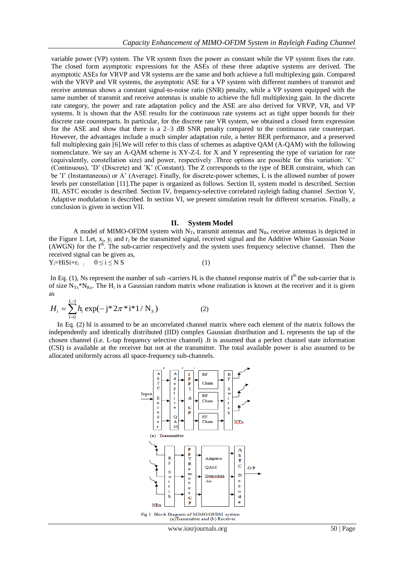variable power (VP) system. The VR system fixes the power as constant while the VP system fixes the rate. The closed form asymptotic expressions for the ASEs of these three adaptive systems are derived. The asymptotic ASEs for VRVP and VR systems are the same and both achieve a full multiplexing gain. Compared with the VRVP and VR systems, the asymptotic ASE for a VP system with different numbers of transmit and receive antennas shows a constant signal-to-noise ratio (SNR) penalty, while a VP system equipped with the same number of transmit and receive antennas is unable to achieve the full multiplexing gain. In the discrete rate category, the power and rate adaptation policy and the ASE are also derived for VRVP, VR, and VP systems. It is shown that the ASE results for the continuous rate systems act as tight upper bounds for their discrete rate counterparts. In particular, for the discrete rate VR system, we obtained a closed form expression for the ASE and show that there is a 2–3 dB SNR penalty compared to the continuous rate counterpart. However, the advantages include a much simpler adaptation rule, a better BER performance, and a preserved full multiplexing gain [6].We will refer to this class of schemes as adaptive QAM (A-QAM) with the following nomenclature. We say an A-QAM scheme is XY-Z-L for X and Y representing the type of variation for rate (equivalently, constellation size) and power, respectively .Three options are possible for this variation: 'C' (Continuous), 'D' (Discrete) and 'K' (Constant). The Z corresponds to the type of BER constraint, which can be 'I' (Instantaneous) or A' (Average). Finally, for discrete-power schemes, L is the allowed number of power levels per constellation [11].The paper is organized as follows. Section II, system model is described. Section III, ASTC encoder is described. Section IV, frequency-selective correlated rayleigh fading channel .Section V, Adaptive modulation is described. In section VI, we present simulation result for different scenarios. Finally, a conclusion is given in section VII.

#### **II. System Model**

A model of MIMO-OFDM system with  $N_{Tx}$  transmit antennas and  $N_{Rx}$  receive antennas is depicted in the Figure 1. Let,  $x_i$ ,  $y_i$  and  $r_i$  be the transmitted signal, received signal and the Additive White Gaussian Noise (AWGN) for the I<sup>th</sup>. The sub-carrier respectively and the system uses frequency selective channel. Then the received signal can be given as,  $Y_i = H i S i + r_i$  ;  $0 \le i \le N S$ (1)

In Eq. (1), Ns represent the number of sub-carriers  $H_i$  is the channel response matrix of  $I<sup>th</sup>$  the sub-carrier that is of size  $N_{Tx} * N_{Rx}$ . The  $H_i$  is a Gaussian random matrix whose realization is known at the receiver and it is given as

$$
H_i = \sum_{l=0}^{L-1} h_l \exp(-j^* 2\pi^* i^* 1/N_s)
$$
 (2)

 In Eq. (2) hl is assumed to be an uncorrelated channel matrix where each element of the matrix follows the independently and identically distributed (IID) complex Gaussian distribution and L represents the tap of the chosen channel (i.e. L-tap frequency selective channel) .It is assumed that a perfect channel state information (CSI) is available at the receiver but not at the transmitter. The total available power is also assumed to be allocated uniformly across all space-frequency sub-channels.



www.iosrjournals.org 50 | Page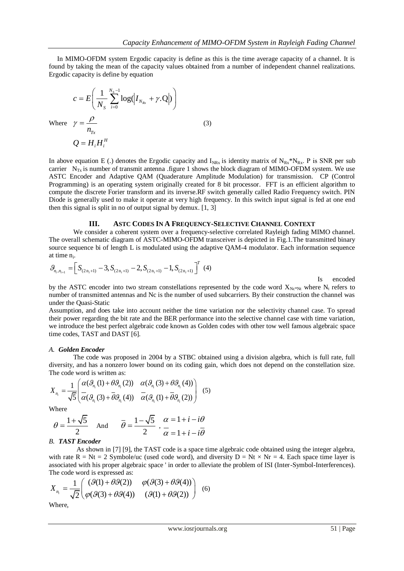In MIMO-OFDM system Ergodic capacity is define as this is the time average capacity of a channel. It is found by taking the mean of the capacity values obtained from a number of independent channel realizations. Ergodic capacity is define by equation

$$
c = E\left(\frac{1}{N_s} \sum_{i=0}^{N_s - 1} \log(|I_{N_{Rx}} + \gamma \cdot \mathbf{Q}|)\right)
$$
  
Where 
$$
\gamma = \frac{\rho}{n_{Tx}}
$$

$$
Q = H_i H_i^H
$$
 (3)

In above equation E (.) denotes the Ergodic capacity and  $I_{NRx}$  is identity matrix of  $N_{Rx}^*N_{Rx}$ . P is SNR per sub carrier  $N_{Tx}$  is number of transmit antenna .figure 1 shows the block diagram of MIMO-OFDM system. We use ASTC Encoder and Adaptive QAM (Quaderature Amplitude Modulation) for transmission. CP (Control Programming) is an operating system originally created for 8 bit processor. FFT is an efficient algorithm to compute the discrete Forier transform and its inverse.RF switch generally called Radio Frequency switch. PIN Diode is generally used to make it operate at very high frequency. In this switch input signal is fed at one end then this signal is split in no of output signal by demux. [1, 3]

#### **III. ASTC CODES IN A FREQUENCY-SELECTIVE CHANNEL CONTEXT**

 We consider a coherent system over a frequency-selective correlated Rayleigh fading MIMO channel. The overall schematic diagram of ASTC-MIMO-OFDM transceiver is depicted in Fig.1.The transmitted binary source sequence bi of length L is modulated using the adaptive QAM-4 modulator. Each information sequence at time n<sub>i</sub>.

$$
\mathcal{G}_{n_i, n_{i+1}} = \left[ S_{(2n_i+1)} - 3, S_{(2n_i+1)} - 2, S_{(2n_i+1)} - 1, S_{(2n_i+1)} \right]^T (4)
$$

Is encoded

by the ASTC encoder into two stream constellations represented by the code word  $X_{Nc*Nt}$  where  $N_t$  refers to number of transmitted antennas and Nc is the number of used subcarriers. By their construction the channel was under the Quasi-Static

Assumption, and does take into account neither the time variation nor the selectivity channel case. To spread their power regarding the bit rate and the BER performance into the selective channel case with time variation, we introduce the best perfect algebraic code known as Golden codes with other tow well famous algebraic space time codes, TAST and DAST [6].

#### *A. Golden Encoder*

The code was proposed in 2004 by a STBC obtained using a division algebra, which is full rate, full diversity, and has a nonzero lower bound on its coding gain, which does not depend on the constellation size.<br>The code word is written as:<br> $\mathbf{v} = \frac{1}{\alpha} \left( \alpha(\theta_{n_i}(1) + \theta \theta_{n_i}(2)) - \alpha(\theta_{n_i}(3) + \theta \theta_{n_i}(4)) \right)$ The code word is written as:

The code word is written as:  
\n
$$
X_{n_i} = \frac{1}{\sqrt{5}} \begin{pmatrix} \alpha(\theta_{n_i}(1) + \theta \theta_{n_i}(2)) & \alpha(\theta_{n_i}(3) + \theta \theta_{n_i}(4)) \\ \alpha(\theta_{n_i}(3) + \bar{\theta} \theta_{n_i}(4)) & \alpha(\theta_{n_i}(1) + \bar{\theta} \theta_{n_i}(2)) \end{pmatrix}
$$
(5)

Where

$$
\theta = \frac{1 + \sqrt{5}}{2}
$$
 And  $\overline{\theta} = \frac{1 - \sqrt{5}}{2}$ ,  $\frac{\alpha}{\alpha} = 1 + i - i\theta$   
 $\overline{\theta}$ 

#### *B. TAST Encoder*

 As shown in [7] [9], the TAST code is a space time algebraic code obtained using the integer algebra, with rate R = Nt = 2 Symbole/uc (used code word), and diversity D = Nt  $\times$  Nr = 4. Each space time layer is associated with his proper algebraic space ' in order to alleviate the problem of ISI (Inter-Symbol-Interferences).<br>The code word is expressed as:<br> $X = \frac{1}{2\pi i} \begin{pmatrix} (9(1) + \theta 9(2)) & \phi(9(3) + \theta 9(4)) \\ 0 & (6) \end{pmatrix}$ The code word is expressed as:

The code word is expressed as:  
\n
$$
X_{n_i} = \frac{1}{\sqrt{2}} \begin{pmatrix} (\mathcal{G}(1) + \theta \mathcal{G}(2)) & \varphi(\mathcal{G}(3) + \theta \mathcal{G}(4)) \\ \varphi(\mathcal{G}(3) + \theta \mathcal{G}(4)) & (\mathcal{G}(1) + \theta \mathcal{G}(2)) \end{pmatrix}
$$
(6)

Where,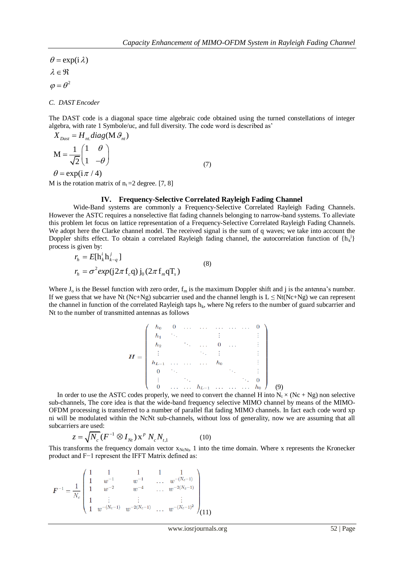$\varphi = \theta^2$  $\theta = \exp(i \lambda)$  $\lambda \in \mathfrak{R}$ 

*C. DAST Encoder*

The DAST code is a diagonal space time algebraic code obtained using the turned constellations of integer algebra, with rate 1 Symbole/uc, and full diversity. The code word is described as'  $X_{\text{Dast}} = H_{\text{nt}} \text{diag}(M \mathcal{G}_{\text{nt}})$ 

$$
X_{\text{Dast}} = H_{\text{nt}} \text{diag}(\text{M} \mathcal{G}_{\text{nt}})
$$
  

$$
\text{M} = \frac{1}{\sqrt{2}} \begin{pmatrix} 1 & \theta \\ 1 & -\theta \end{pmatrix}
$$
  

$$
\theta = \exp(i \pi / 4)
$$
 (7)

M is the rotation matrix of  $n_t = 2$  degree. [7, 8]

## **IV. Frequency-Selective Correlated Rayleigh Fading Channel**

Wide-Band systems are commonly a Frequency-Selective Correlated Rayleigh Fading Channels. However the ASTC requires a nonselective flat fading channels belonging to narrow-band systems. To alleviate this problem let focus on lattice representation of a Frequency-Selective Correlated Rayleigh Fading Channels. We adopt here the Clarke channel model. The received signal is the sum of q waves; we take into account the Doppler shifts effect. To obtain a correlated Rayleigh fading channel, the autocorrelation function of  $\{h_k^{\ j}\}$ process is given by:<br> $r_h = E[h_k^i h_{k-q}^j]$ 

$$
r_h = E[\mathbf{h}_k^i \mathbf{h}_{k-q}^j]
$$
  
\n
$$
r_h = \sigma^2 exp(\mathbf{j} 2\pi \mathbf{f}_c \mathbf{q}) \mathbf{j}_0 (2\pi \mathbf{f}_m \mathbf{q} \mathbf{T}_s)
$$
 (8)

Where  $J_0$  is the Bessel function with zero order,  $f_m$  is the maximum Doppler shift and j is the antenna's number. If we guess that we have Nt (Nc+Ng) subcarrier used and the channel length is  $L \leq Nt(Nc+Ng)$  we can represent the channel in function of the correlated Rayleigh taps  $h_k$ , where Ng refers to the number of guard subcarrier and Nt to the number of transmitted antennas as follows

$$
H = \begin{pmatrix} h_0 & 0 & \cdots & \cdots & \cdots & \cdots & 0 \\ h_1 & \ddots & & & & & & \vdots \\ h_2 & & \ddots & \cdots & 0 & \cdots & & \vdots \\ \vdots & & & \ddots & \vdots & & & \vdots \\ h_{L-1} & \cdots & \cdots & h_0 & & & \vdots \\ 0 & \ddots & & & & & \ddots & \vdots \\ \vdots & & & & & & \ddots & 0 \\ 0 & \cdots & \cdots & h_{L-1} & \cdots & \cdots & h_0 \end{pmatrix} \quad (9)
$$

In order to use the ASTC codes properly, we need to convert the channel H into  $N_t \times (N_c + Ng)$  non selective sub-channels, The core idea is that the wide-band frequency selective MIMO channel by means of the MIMO-OFDM processing is transferred to a number of parallel flat fading MIMO channels. In fact each code word xp ni will be modulated within the NcNt sub-channels, without loss of generality, now we are assuming that all subcarriers are used:

$$
z = \sqrt{N_c} \left( F^{-1} \otimes I_{Nt} \right) x^p \, N_c N_{t,1}
$$
 (10)

This transforms the frequency domain vector  $x_{NcNt}$ , 1 into the time domain. Where x represents the Kronecker product and F−1 represent the IFFT Matrix defined as:

$$
F^{-1} = \frac{1}{N_c} \begin{pmatrix} 1 & 1 & 1 & 1 & 1 \\ 1 & w^{-1} & w^{-1} & \dots & w^{-(N_c-1)} \\ 1 & w^{-2} & w^{-4} & \dots & w^{-2(N_c-1)} \\ 1 & \vdots & \vdots & & \vdots \\ 1 & w^{-(N_c-1)} & w^{-2(N_c-1)} & \dots & w^{-(N_c-1)^2} \end{pmatrix} (11)
$$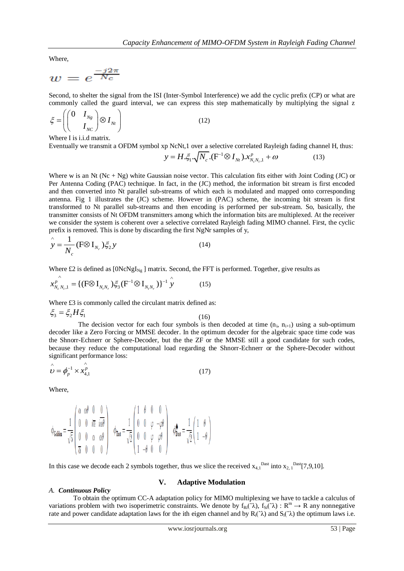Where,

$$
w=e^{\frac{-j2\pi}{N_c}}
$$

Second, to shelter the signal from the ISI (Inter-Symbol Interference) we add the cyclic prefix (CP) or what are commonly called the guard interval, we can express this step mathematically by multiplying the signal z

$$
\xi = \left( \begin{pmatrix} 0 & I_{Ng} \\ & I_{NC} \end{pmatrix} \otimes I_{Nt} \right) \tag{12}
$$

Where I is i.i.d matrix.

Eventually we transmit a OFDM symbol xp NcNt,1 over a selective correlated Rayleigh fading channel H, thus:<br> $y = H \cdot \xi_1 \cdot \sqrt{N_c} \cdot (F^{-1} \otimes I_{Nt}) \cdot x_{N_c N_t,1}^p + \omega$  (13)

$$
y = H \cdot \xi_1 \cdot \sqrt{N_c} \cdot (F^{-1} \otimes I_{Nt}) \cdot x_{N_c N_t, 1}^p + \omega
$$
 (13)

Where w is an Nt  $(Nc + Ng)$  white Gaussian noise vector. This calculation fits either with Joint Coding (JC) or Per Antenna Coding (PAC) technique. In fact, in the (JC) method, the information bit stream is first encoded and then converted into Nt parallel sub-streams of which each is modulated and mapped onto corresponding antenna. Fig 1 illustrates the (JC) scheme. However in (PAC) scheme, the incoming bit stream is first transformed to Nt parallel sub-streams and then encoding is performed per sub-stream. So, basically, the transmitter consists of Nt OFDM transmitters among which the information bits are multiplexed. At the receiver we consider the system is coherent over a selective correlated Rayleigh fading MIMO channel. First, the cyclic prefix is removed. This is done by discarding the first NgNr samples of y,

$$
\hat{y} = \frac{1}{N_c} (\text{F} \otimes \text{I}_{N_r}) \xi_2 y \tag{14}
$$

Where £2 is defined as 
$$
[0NcNgI_{Ng}]
$$
 matrix. Second, the FFT is performed. Together, give results as\n
$$
x_{N_c N_r,1}^p = \left\{ \left( F \otimes I_{N_r N_r} \right) \xi_3 \left( F^{-1} \otimes I_{N_r N_r} \right) \right\}^{-1} \hat{y}
$$
\n(15)

Where £3 is commonly called the circulant matrix defined as:

$$
\xi_3 = \xi_2 H \xi_1 \tag{16}
$$

The decision vector for each four symbols is then decoded at time  $(n_i, n_{i+1})$  using a sub-optimum decoder like a Zero Forcing or MMSE decoder. In the optimum decoder for the algebraic space time code was the Shnorr-Echnerr or Sphere-Decoder, but the the ZF or the MMSE still a good candidate for such codes, because they reduce the computational load regarding the Shnorr-Echnerr or the Sphere-Decoder without significant performance loss:

$$
\hat{\boldsymbol{\nu}} = \boldsymbol{\phi}_p^{-1} \times \hat{\boldsymbol{x}_{4,1}^p} \tag{17}
$$

Where,

*A. Continuous Policy*

$$
\phi_{\text{Golden}} = \frac{1}{\sqrt{5}} \left( \begin{array}{ccc} \alpha & \alpha\theta & 0 & 0 \\ 0 & 0 & i\overline{\alpha} & i\overline{\alpha}\theta \\ 0 & 0 & \alpha & \alpha\theta \\ \overline{\alpha} & 0 & 0 & 0 \end{array} \right) \quad \phi_{\text{fast}} = \frac{1}{\sqrt{2}} \left( \begin{array}{ccc} 1 & \theta & 0 & 0 \\ 0 & 0 & \varphi & -\varphi\theta \\ 0 & 0 & \varphi & \varphi\theta \\ 1 & -\theta & 0 & 0 \end{array} \right) \quad \phi_{\text{fast}}^{\spadesuit} = \frac{1}{\sqrt{2}} \left( \begin{array}{ccc} 1 & \theta \\ 1 & -\theta \end{array} \right)
$$

In this case we decode each 2 symbols together, thus we slice the received  $x_{4,1}^{(Dast)}$  into  $x_{2,1}^{(Dast)}$ [7,9,10].

### **V. Adaptive Modulation**

To obtain the optimum CC-A adaptation policy for MIMO multiplexing we have to tackle a calculus of variations problem with two isoperimetric constraints. We denote by  $f_R$ ;  $(\lambda)$ ,  $f_S$ ;  $(\lambda)$  :  $R^m \to R$  any nonnegative rate and power candidate adaptation laws for the ith eigen channel and by  $R_i(\hat{\lambda})$  and  $S_i(\hat{\lambda})$  the optimum laws i.e.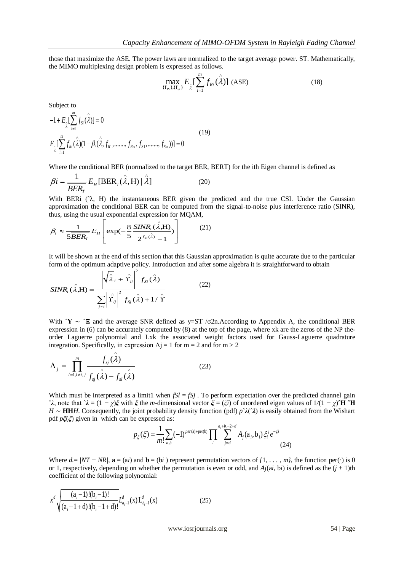those that maximize the ASE. The power laws are normalized to the target average power. ST. Mathematically, the MIMO multiplexing design problem is expressed as follows.

$$
\max_{\{f_{Ri}\},\{f_{Si}\}} E_{\hat{\lambda}} \Big[\sum_{i=1}^m f_{Ri}(\hat{\lambda})\Big] \text{ (ASE)} \tag{18}
$$

Subject to  
\n
$$
-1 + E_{\lambda} \left[ \sum_{i=1}^{m} f_{Si}(\hat{\lambda}) \right] = 0
$$
\n
$$
E_{\lambda} \left[ \sum_{i=1}^{m} f_{Ri}(\hat{\lambda})(1 - \beta_i(\hat{\lambda}, f_{R1}, \dots, f_{Rm}, f_{S1}, \dots, f_{Sm})) \right] = 0
$$
\n(19)

Where the conditional BER (normalized to the target BER, BERT) for the ith Eigen channel is defined as  $\frac{1}{\sqrt{2}}$ 

$$
\beta i = \frac{1}{\overline{BER_T}} E_H[\text{BER}_i(\hat{\lambda}, H) | \hat{\lambda}]
$$
 (20)

With BERi  $(\lambda, H)$  the instantaneous BER given the predicted and the true CSI. Under the Gaussian approximation the conditional BER can be computed from the signal-to-noise plus interference ratio (SINR),

thus, using the usual exponential expression for MQAM,  
\n
$$
\beta_i \approx \frac{1}{5\overline{BER}_T} E_H \left[ \exp(-\frac{8}{5} \frac{SINR_i(\hat{\lambda},H)}{2^{f_{Ri}(\hat{\lambda})}-1}) \right] \tag{21}
$$

It will be shown at the end of this section that this Gaussian approximation is quite accurate due to the particular form of the optimum adaptive policy. Introduction and after some algebra it is straightforward to obtain

$$
SINR_i(\hat{\lambda}, H) = \frac{\left| \sqrt{\hat{\lambda}}_i + \hat{\Upsilon}_i \right|^2 f_{Si}(\hat{\lambda})}{\sum_{j \neq i} \left| \hat{\Upsilon}_{ij} \right|^2 f_{Sj}(\hat{\lambda}) + 1/\hat{\Upsilon}}
$$
(22)

With ˆ**Υ** ∼ ˆ**Ξ** and the average SNR defined as y=ST /σ2n.According to Appendix A, the conditional BER expression in (6) can be accurately computed by (8) at the top of the page, where xk are the zeros of the NP theorder Laguerre polynomial and Lxk the associated weight factors used for Gauss-Laguerre quadrature integration. Specifically, in expression  $\Lambda$ j = 1 for m = 2 and for m > 2

$$
\Lambda_j = \prod_{l=1, l \neq i, j}^{m} \frac{f_{sj}(\hat{\lambda})}{f_{sj}(\hat{\lambda}) - f_{sl}(\hat{\lambda})}
$$
(23)

Which must be interpreted as a limit1 when  $fSI = fSj$ . To perform expectation over the predicted channel gain ˆ*λ*, note that ˆ*λ* = (1 *− χ*)*ξ* with *ξ* the *m*-dimensional vector *ξ* = (*ξi*) of unordered eigen values of 1*/*(1 *− χ*)**ˆH ˆH**  *H* ~ **HH***H*. Consequently, the joint probability density function (pdf) *p*<sup>∂</sup>*λ*(<sup>∂</sup>*λ*) is easily obtained from the Wishart pdf  $p\xi(\xi)$  given in which can be expressed as:<br> $p_{\xi}(\xi) = \frac{1}{m!} \sum_{a,b} (-1)^{per(a)+per(b)} \prod_{i} \sum_{j=d$ pdf *pξ*(*ξ*) given in which can be expressed as:  $a_i + b_i - 2 + d$  $+b_i-2+d$ 

be expressed as:  
\n
$$
p_{\xi}(\xi) = \frac{1}{m!} \sum_{a,b} (-1)^{per(a)+per(b)} \prod_{i} \sum_{j=d}^{a_i + b_i - 2 + d} A_j(a_i, b_i) \xi_i^j e^{-\xi i}
$$
\n(24)

Where  $d = |NT - NR|$ ,  $\mathbf{a} = (ai)$  and  $\mathbf{b} = (bi)$  represent permutation vectors of  $\{1, \ldots, m\}$ , the function per( $\cdot$ ) is 0 or 1, respectively, depending on whether the permutation is even or odd, and  $A<sub>i</sub>(ai, bi)$  is defined as the  $(i + 1)$ th coefficient of the following polynomial:

$$
x^{d} \sqrt{\frac{(a_{i}-1)!(b_{i}-1)!}{(a_{i}-1+d)!(b_{i}-1+d)!}} L_{a_{i}-1}^{d}(x) L_{b_{i}-1}^{d}(x)
$$
 (25)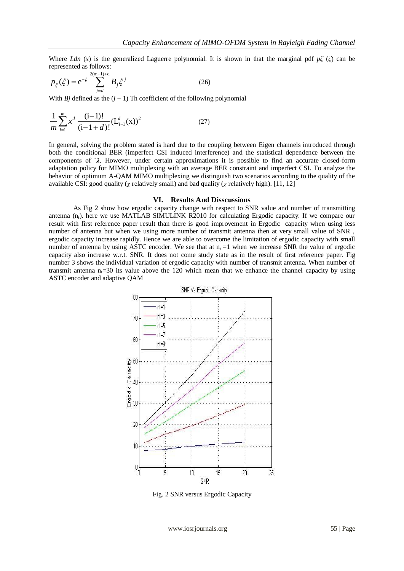Where *Ldn* (*x*) is the generalized Laguerre polynomial. It is shown in that the marginal pdf *pξ* (*ξ*) can be represented as follows:

$$
p_{\xi}(\xi) = e^{-\xi} \sum_{j=d}^{2(m-1)+d} B_j \xi^j
$$
 (26)

With *Bj* defined as the  $(j + 1)$  Th coefficient of the following polynomial

$$
\frac{1}{m} \sum_{i=1}^{m} x^d \frac{(i-1)!}{(i-1+d)!} (L_{i-1}^d(x))^2
$$
\n(27)

In general, solving the problem stated is hard due to the coupling between Eigen channels introduced through both the conditional BER (imperfect CSI induced interference) and the statistical dependence between the components of ˆ*λ*. However, under certain approximations it is possible to find an accurate closed-form adaptation policy for MIMO multiplexing with an average BER constraint and imperfect CSI. To analyze the behavior of optimum A-QAM MIMO multiplexing we distinguish two scenarios according to the quality of the available CSI: good quality (*χ* relatively small) and bad quality (*χ* relatively high). [11, 12]

#### **VI. Results And Disscussions**

As Fig 2 show how ergodic capacity change with respect to SNR value and number of transmitting antenna  $(n_t)$ . here we use MATLAB SIMULINK R2010 for calculating Ergodic capacity. If we compare our result with first reference paper result than there is good improvement in Ergodic capacity when using less number of antenna but when we using more number of transmit antenna then at very small value of SNR , ergodic capacity increase rapidly. Hence we are able to overcome the limitation of ergodic capacity with small number of antenna by using ASTC encoder. We see that at  $n_t = 1$  when we increase SNR the value of ergodic capacity also increase w.r.t. SNR. It does not come study state as in the result of first reference paper. Fig number 3 shows the individual variation of ergodic capacity with number of transmit antenna. When number of transmit antenna  $n_1=30$  its value above the 120 which mean that we enhance the channel capacity by using ASTC encoder and adaptive QAM



Fig. 2 SNR versus Ergodic Capacity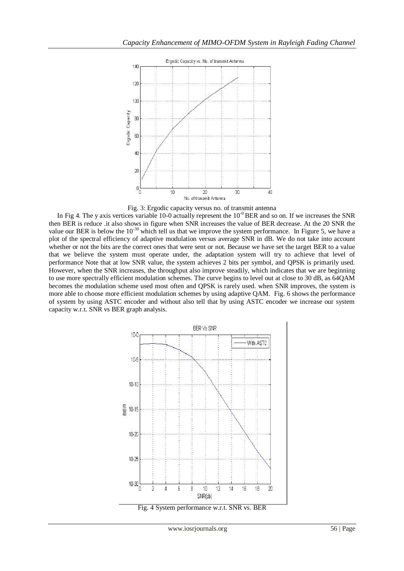

Fig. 3: Ergodic capacity versus no. of transmit antenna

In Fig 4. The y axis vertices variable 10-0 actually represent the  $10^{-0}$  BER and so on. If we increases the SNR then BER is reduce .it also shows in figure when SNR increases the value of BER decrease. At the 20 SNR the value our BER is below the  $10^{-30}$  which tell us that we improve the system performance. In Figure 5, we have a plot of the spectral efficiency of adaptive modulation versus average SNR in dB. We do not take into account whether or not the bits are the correct ones that were sent or not. Because we have set the target BER to a value that we believe the system must operate under, the adaptation system will try to achieve that level of performance Note that at low SNR value, the system achieves 2 bits per symbol, and QPSK is primarily used. However, when the SNR increases, the throughput also improve steadily, which indicates that we are beginning to use more spectrally efficient modulation schemes. The curve begins to level out at close to 30 dB, as 64QAM becomes the modulation scheme used most often and QPSK is rarely used. when SNR improves, the system is more able to choose more efficient modulation schemes by using adaptive QAM. Fig. 6 shows the performance of system by using ASTC encoder and without also tell that by using ASTC encoder we increase our system capacity w.r.t. SNR vs BER graph analysis.



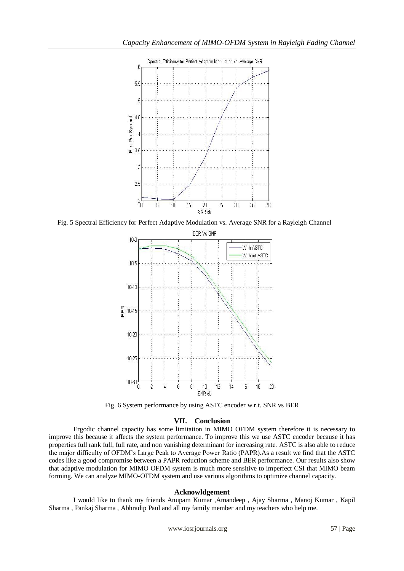

Fig. 5 Spectral Efficiency for Perfect Adaptive Modulation vs. Average SNR for a Rayleigh Channel



Fig. 6 System performance by using ASTC encoder w.r.t. SNR vs BER

# **VII. Conclusion**

 Ergodic channel capacity has some limitation in MIMO OFDM system therefore it is necessary to improve this because it affects the system performance. To improve this we use ASTC encoder because it has properties full rank full, full rate, and non vanishing determinant for increasing rate. ASTC is also able to reduce the major difficulty of OFDM's Large Peak to Average Power Ratio (PAPR).As a result we find that the ASTC codes like a good compromise between a PAPR reduction scheme and BER performance. Our results also show that adaptive modulation for MIMO OFDM system is much more sensitive to imperfect CSI that MIMO beam forming. We can analyze MIMO-OFDM system and use various algorithms to optimize channel capacity.

## **Acknowldgement**

I would like to thank my friends Anupam Kumar ,Amandeep , Ajay Sharma , Manoj Kumar , Kapil Sharma , Pankaj Sharma , Abhradip Paul and all my family member and my teachers who help me.